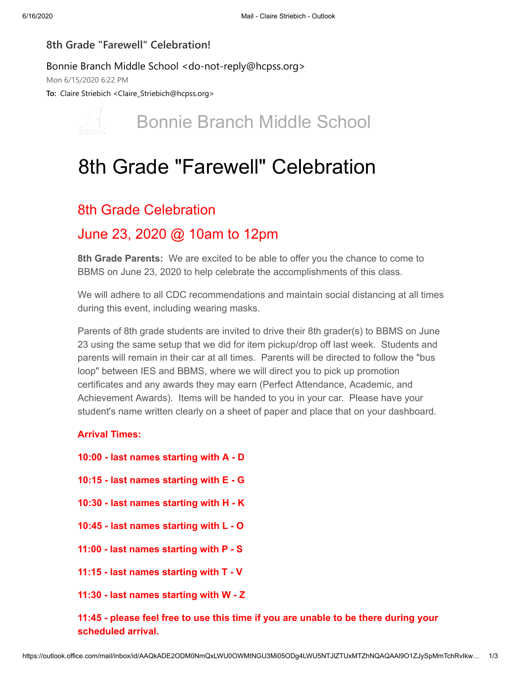### **8th Grade "Farewell" Celebration!**

#### Bonnie Branch Middle School <do-not-reply@hcpss.org>

Mon 6/15/2020 6:22 PM

**To:** Claire Striebich <Claire\_Striebich@hcpss.org>



## Bonnie Branch Middle School

# 8th Grade "Farewell" Celebration

### 8th Grade Celebration

### June 23, 2020 @ 10am to 12pm

**8th Grade Parents:** We are excited to be able to offer you the chance to come to BBMS on June 23, 2020 to help celebrate the accomplishments of this class.

We will adhere to all CDC recommendations and maintain social distancing at all times during this event, including wearing masks.

Parents of 8th grade students are invited to drive their 8th grader(s) to BBMS on June 23 using the same setup that we did for item pickup/drop off last week. Students and parents will remain in their car at all times. Parents will be directed to follow the "bus loop" between IES and BBMS, where we will direct you to pick up promotion certificates and any awards they may earn (Perfect Attendance, Academic, and Achievement Awards). Items will be handed to you in your car. Please have your student's name written clearly on a sheet of paper and place that on your dashboard.

### **Arrival Times:**

- **10:00 last names starting with A D**
- **10:15 last names starting with E G**
- **10:30 last names starting with H K**
- **10:45 last names starting with L O**
- **11:00 last names starting with P S**
- **11:15 last names starting with T V**
- **11:30 last names starting with W Z**

**11:45 - please feel free to use this time if you are unable to be there during your scheduled arrival.**